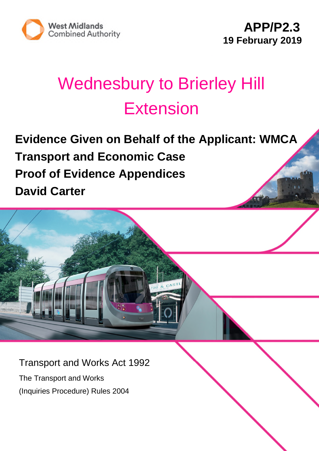

# Wednesbury to Brierley Hill **Extension**

**Evidence Given on Behalf of the Applicant: WMCA Transport and Economic Case Proof of Evidence Appendices David Carter**

Transport and Works Act 1992

The Transport and Works (Inquiries Procedure) Rules 2004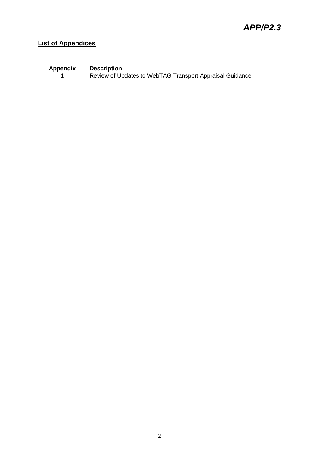#### **List of Appendices**

| <b>Appendix</b> | <b>Description</b>                                       |
|-----------------|----------------------------------------------------------|
|                 | Review of Updates to WebTAG Transport Appraisal Guidance |
|                 |                                                          |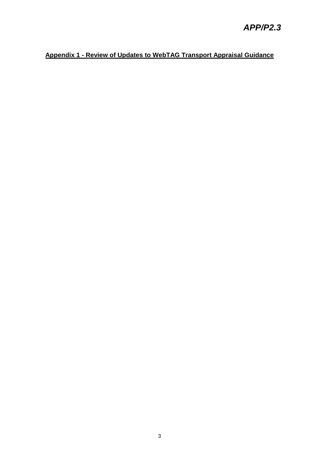#### **Appendix 1 - Review of Updates to WebTAG Transport Appraisal Guidance**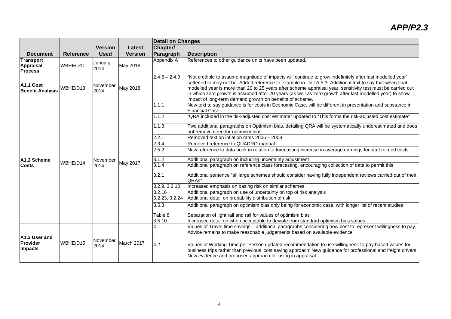|                                                        |                  |                  |                | <b>Detail on Changes</b> |                                                                                                                                                                                                                                                                                                                                                                                                                                                                                                              |  |
|--------------------------------------------------------|------------------|------------------|----------------|--------------------------|--------------------------------------------------------------------------------------------------------------------------------------------------------------------------------------------------------------------------------------------------------------------------------------------------------------------------------------------------------------------------------------------------------------------------------------------------------------------------------------------------------------|--|
|                                                        |                  | <b>Version</b>   | Latest         | Chapter/                 |                                                                                                                                                                                                                                                                                                                                                                                                                                                                                                              |  |
| <b>Document</b>                                        | <b>Reference</b> | <b>Used</b>      | <b>Version</b> | Paragraph                | <b>Description</b>                                                                                                                                                                                                                                                                                                                                                                                                                                                                                           |  |
| <b>Transport</b><br><b>Appraisal</b><br><b>Process</b> | WBHE/D11         | January<br>2014  | May 2018       | Appendix A               | References to other guidance units have been updated.                                                                                                                                                                                                                                                                                                                                                                                                                                                        |  |
| A1.1 Cost<br><b>Benefit Analysis</b>                   | WBHE/D13         | November<br>2014 | May 2018       | $2.4.5 - 2.4.9$          | "Not credible to assume magnitude of impacts will continue to grow indefinitely after last modelled year"<br>softened to may not be. Added reference to example in Unit A 5.3. Additional text to say that when final<br>modelled year is more than 20 to 25 years after scheme appraisal year, sensitivity test must be carried out<br>in which zero growth is assumed after 20 years (as well as zero growth after last modelled year) to show<br>impact of long-term demand growth on benefits of scheme. |  |
|                                                        |                  |                  |                | 1.1.1                    | New text to say guidance is for costs in Economic Case, will be different in presentation and substance in<br>Financial Case.                                                                                                                                                                                                                                                                                                                                                                                |  |
|                                                        |                  |                  |                | 1.1.2                    | "QRA included in the risk-adjusted cost estimate" updated to "This forms the risk-adjusted cost estimate"                                                                                                                                                                                                                                                                                                                                                                                                    |  |
|                                                        |                  |                  |                | 1.1.3                    | Two additional paragraphs on Optimism bias, detailing QRA will be systematically underestimated and does<br>not remove need for optimism bias                                                                                                                                                                                                                                                                                                                                                                |  |
|                                                        |                  |                  |                | 2.2.1                    | Removed text on inflation rates 2006 - 2008                                                                                                                                                                                                                                                                                                                                                                                                                                                                  |  |
|                                                        |                  |                  |                | 2.3.4                    | Removed reference to QUADRO manual                                                                                                                                                                                                                                                                                                                                                                                                                                                                           |  |
|                                                        |                  |                  |                | 2.5.2                    | New reference to data book in relation to forecasting increase in average earnings for staff related costs                                                                                                                                                                                                                                                                                                                                                                                                   |  |
| A1.2 Scheme                                            |                  | November         |                | 3.1.2                    | Additional paragraph on including uncertainty adjustment                                                                                                                                                                                                                                                                                                                                                                                                                                                     |  |
| <b>Costs</b>                                           | WBHF/D14         | 2014             | May 2017       | 3.1.4                    | Additional paragraph on reference class forecasting, encouraging collection of data to permit this                                                                                                                                                                                                                                                                                                                                                                                                           |  |
|                                                        |                  |                  |                | 3.2.1                    | Additional sentence "all large schemes should consider having fully independent reviews carried out of their<br>QRAs"                                                                                                                                                                                                                                                                                                                                                                                        |  |
|                                                        |                  |                  |                | 3.2.9, 3.2.10            | Increased emphasis on basing risk on similar schemes                                                                                                                                                                                                                                                                                                                                                                                                                                                         |  |
|                                                        |                  |                  |                | 3.2.16                   | Additional paragraph on use of uncertainty on top of risk analysis                                                                                                                                                                                                                                                                                                                                                                                                                                           |  |
|                                                        |                  |                  |                | 3.2.23, 3.2.24           | Additional detail on probability distribution of risk                                                                                                                                                                                                                                                                                                                                                                                                                                                        |  |
|                                                        |                  |                  |                | 3.5.3                    | Additional paragraph on optimism bias only being for economic case, with longer list of recent studies                                                                                                                                                                                                                                                                                                                                                                                                       |  |
|                                                        |                  |                  |                | Table 8                  | Separation of light rail and rail for values of optimism bias                                                                                                                                                                                                                                                                                                                                                                                                                                                |  |
|                                                        |                  |                  |                | 3.5.10                   | Increased detail on when acceptable to deviate from standard optimism bias values                                                                                                                                                                                                                                                                                                                                                                                                                            |  |
| A1.3 User and                                          |                  |                  |                |                          | Values of Travel time savings - additional paragraphs considering how best to represent willingness to pay.<br>Advice remains to make reasonable judgements based on available evidence                                                                                                                                                                                                                                                                                                                      |  |
| Provider<br>Impacts                                    | WBHE/D15         | November<br>2014 | March 2017     | $\overline{4.2}$         | Values of Working Time per Person updated recommendation to use willingness-to-pay based values for<br>business trips rather than previous 'cost saving approach' New guidance for professional and freight drivers.<br>New evidence and proposed approach for using in appraisal.                                                                                                                                                                                                                           |  |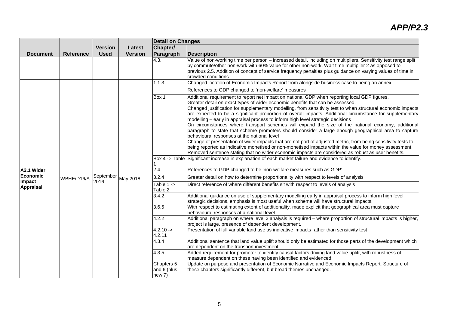|                                               |                  |                   |                | <b>Detail on Changes</b>            |                                                                                                                                                                                                                                                                                                                                                                                                                                                                                                                                                                                                                                                                                                                                                                                                                                                                                                                                                                                                                                                                                                                                                                                                                                                                           |
|-----------------------------------------------|------------------|-------------------|----------------|-------------------------------------|---------------------------------------------------------------------------------------------------------------------------------------------------------------------------------------------------------------------------------------------------------------------------------------------------------------------------------------------------------------------------------------------------------------------------------------------------------------------------------------------------------------------------------------------------------------------------------------------------------------------------------------------------------------------------------------------------------------------------------------------------------------------------------------------------------------------------------------------------------------------------------------------------------------------------------------------------------------------------------------------------------------------------------------------------------------------------------------------------------------------------------------------------------------------------------------------------------------------------------------------------------------------------|
|                                               |                  | <b>Version</b>    | Latest         | Chapter/                            |                                                                                                                                                                                                                                                                                                                                                                                                                                                                                                                                                                                                                                                                                                                                                                                                                                                                                                                                                                                                                                                                                                                                                                                                                                                                           |
| <b>Document</b>                               | <b>Reference</b> | <b>Used</b>       | <b>Version</b> | Paragraph                           | <b>Description</b>                                                                                                                                                                                                                                                                                                                                                                                                                                                                                                                                                                                                                                                                                                                                                                                                                                                                                                                                                                                                                                                                                                                                                                                                                                                        |
|                                               |                  |                   |                | 4.3.                                | Value of non-working time per person - increased detail, including on multipliers. Sensitivity test range split<br>by commute/other non-work with 60% value for other non-work. Wait time multiplier 2 as opposed to<br>previous 2.5. Addition of concept of service frequency penalties plus guidance on varying values of time in<br>crowded conditions                                                                                                                                                                                                                                                                                                                                                                                                                                                                                                                                                                                                                                                                                                                                                                                                                                                                                                                 |
|                                               |                  |                   |                | 1.1.3                               | Changed location of Economic Impacts Report from alongside business case to being an annex                                                                                                                                                                                                                                                                                                                                                                                                                                                                                                                                                                                                                                                                                                                                                                                                                                                                                                                                                                                                                                                                                                                                                                                |
| A2.1 Wider<br>Economic<br>Impact<br>Appraisal | WBHE/D16/A       | September<br>2016 | May 2018       |                                     | References to GDP changed to 'non-welfare' measures                                                                                                                                                                                                                                                                                                                                                                                                                                                                                                                                                                                                                                                                                                                                                                                                                                                                                                                                                                                                                                                                                                                                                                                                                       |
|                                               |                  |                   |                | Box 1<br>$\overline{2.4}$           | Additional requirement to report net impact on national GDP when reporting local GDP figures.<br>Greater detail on exact types of wider economic benefits that can be assessed.<br>Changed justification for supplementary modelling, from sensitivity test to when structural economic impacts<br>are expected to be a significant proportion of overall impacts. Additional circumstance for supplementary<br>modelling – early in appraisal process to inform high level strategic decisions<br>On circumstances where transport schemes will expand the size of the national economy, additional<br>paragraph to state that scheme promoters should consider a large enough geographical area to capture<br>behavioural responses at the national level<br>Change of presentation of wider impacts that are not part of adjusted metric, from being sensitivity tests to<br>being reported as indicative monetised or non-monetised impacts within the value for money assessment.<br>Removed sentence stating that no wider economic impacts are considered as robust as user benefits.<br>Box 4 -> Table Significant increase in explanation of each market failure and evidence to identify.<br>References to GDP changed to be 'non-welfare measures such as GDP' |
|                                               |                  |                   |                | 3.2.4                               | Greater detail on how to determine proportionality with respect to levels of analysis                                                                                                                                                                                                                                                                                                                                                                                                                                                                                                                                                                                                                                                                                                                                                                                                                                                                                                                                                                                                                                                                                                                                                                                     |
|                                               |                  |                   |                | Table 1 -><br>Table 2               | Direct reference of where different benefits sit with respect to levels of analysis                                                                                                                                                                                                                                                                                                                                                                                                                                                                                                                                                                                                                                                                                                                                                                                                                                                                                                                                                                                                                                                                                                                                                                                       |
|                                               |                  |                   |                | 3.4.2                               | Additional guidance on use of supplementary modelling early in appraisal process to inform high level<br>strategic decisions, emphasis is most useful when scheme will have structural impacts.                                                                                                                                                                                                                                                                                                                                                                                                                                                                                                                                                                                                                                                                                                                                                                                                                                                                                                                                                                                                                                                                           |
|                                               |                  |                   |                | 3.6.5                               | With respect to estimating extent of additionality, made explicit that geographical area must capture<br>behavioural responses at a national level.                                                                                                                                                                                                                                                                                                                                                                                                                                                                                                                                                                                                                                                                                                                                                                                                                                                                                                                                                                                                                                                                                                                       |
|                                               |                  |                   |                | 4.2.2                               | Additional paragraph on where level 3 analysis is required - where proportion of structural impacts is higher,<br>project is large, presence of dependent development.                                                                                                                                                                                                                                                                                                                                                                                                                                                                                                                                                                                                                                                                                                                                                                                                                                                                                                                                                                                                                                                                                                    |
|                                               |                  |                   |                | $4.2.10 ->$<br>4.2.11               | Presentation of full variable land use as indicative impacts rather than sensitivity test                                                                                                                                                                                                                                                                                                                                                                                                                                                                                                                                                                                                                                                                                                                                                                                                                                                                                                                                                                                                                                                                                                                                                                                 |
|                                               |                  |                   |                | 4.3.4                               | Additional sentence that land value uplift should only be estimated for those parts of the development which<br>are dependent on the transport investment.                                                                                                                                                                                                                                                                                                                                                                                                                                                                                                                                                                                                                                                                                                                                                                                                                                                                                                                                                                                                                                                                                                                |
|                                               |                  |                   |                | 4.3.5                               | Added requirement for promoter to identify causal factors driving land value uplift, with robustness of<br>measure dependent on these having been identified and evidenced.                                                                                                                                                                                                                                                                                                                                                                                                                                                                                                                                                                                                                                                                                                                                                                                                                                                                                                                                                                                                                                                                                               |
|                                               |                  |                   |                | Chapters 5<br>and 6 (plus<br>new 7) | Update on purpose and presentation of Economic Narrative and Economic Impacts Report. Structure of<br>these chapters significantly different, but broad themes unchanged.                                                                                                                                                                                                                                                                                                                                                                                                                                                                                                                                                                                                                                                                                                                                                                                                                                                                                                                                                                                                                                                                                                 |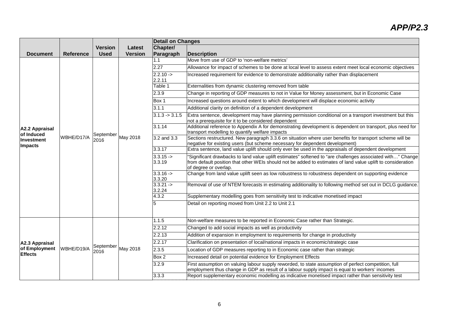|                                                   |                  |                   |                | <b>Detail on Changes</b>               |                                                                                                                                                                                                                                                     |
|---------------------------------------------------|------------------|-------------------|----------------|----------------------------------------|-----------------------------------------------------------------------------------------------------------------------------------------------------------------------------------------------------------------------------------------------------|
|                                                   |                  | <b>Version</b>    | Latest         | Chapter/                               |                                                                                                                                                                                                                                                     |
| <b>Document</b>                                   | <b>Reference</b> | <b>Used</b>       | <b>Version</b> | Paragraph                              | <b>Description</b>                                                                                                                                                                                                                                  |
|                                                   |                  |                   | May 2018       | 1.1                                    | Move from use of GDP to 'non-welfare metrics'                                                                                                                                                                                                       |
|                                                   |                  |                   |                | 2.27                                   | Allowance for impact of schemes to be done at local level to assess extent meet local economic objectives                                                                                                                                           |
|                                                   |                  |                   |                | $2.2.10 - >$<br>2.2.11                 | Increased requirement for evidence to demonstrate additionality rather than displacement                                                                                                                                                            |
|                                                   |                  |                   |                | Table 1                                | Externalities from dynamic clustering removed from table                                                                                                                                                                                            |
|                                                   |                  |                   |                | 2.3.9                                  | Change in reporting of GDP measures to not in Value for Money assessment, but in Economic Case                                                                                                                                                      |
|                                                   |                  |                   |                | Box 1                                  | Increased questions around extent to which development will displace economic activity                                                                                                                                                              |
|                                                   |                  |                   |                | 3.1.1                                  | Additional clarity on definition of a dependent development                                                                                                                                                                                         |
|                                                   | WBHE/D17/A       | September<br>2016 |                | $3.1.3 \div 3.1.5$                     | Extra sentence, development may have planning permission conditional on a transport investment but this<br>not a prerequisite for it to be considered dependent                                                                                     |
| A2.2 Appraisal<br>of Induced                      |                  |                   |                | 3.1.14                                 | Additional reference to Appendix A for demonstrating development is dependent on transport, plus need for<br>transport modelling to quantify welfare impacts                                                                                        |
| Investment<br><b>Impacts</b>                      |                  |                   |                | 3.2 and 3.3                            | Sections restructured. New paragraph 3.3.6 on situation where user benefits for transport scheme will be<br>negative for existing users (but scheme necessary for dependent development)                                                            |
|                                                   |                  |                   |                | 3.3.17                                 | Extra sentence, land value uplift should only ever be used in the appraisals of dependent development                                                                                                                                               |
|                                                   |                  |                   |                | $3.3.15 -$<br>3.3.19                   | "Significant drawbacks to land value uplift estimates" softened to "are challenges associated with" Change<br>from default position that other WEIs should not be added to estimates of land value uplift to consideration<br>of degree or overlap. |
|                                                   |                  |                   |                | $3.3.16 - >$<br>3.3.20                 | Change from land value uplift seen as low robustness to robustness dependent on supporting evidence                                                                                                                                                 |
|                                                   |                  |                   |                | $3.3.21 - >$<br>$\frac{3.2.24}{4.3.2}$ | Removal of use of NTEM forecasts in estimating additionality to following method set out in DCLG guidance.                                                                                                                                          |
|                                                   |                  |                   |                |                                        | Supplementary modelling goes from sensitivity test to indicative monetised impact                                                                                                                                                                   |
|                                                   |                  |                   |                | 5                                      | Detail on reporting moved from Unit 2.2 to Unit 2.1                                                                                                                                                                                                 |
|                                                   | WBHE/D19/A       | September<br>2016 | May 2018       | 1.1.5                                  | Non-welfare measures to be reported in Economic Case rather than Strategic.                                                                                                                                                                         |
| A2.3 Appraisal<br>of Employment<br><b>Effects</b> |                  |                   |                | 2.2.12                                 | Changed to add social impacts as well as productivity                                                                                                                                                                                               |
|                                                   |                  |                   |                | 2.2.13                                 | Addition of expansion in employment to requirements for change in productivity                                                                                                                                                                      |
|                                                   |                  |                   |                | 2.2.17                                 | Clarification on presentation of local/national impacts in economic/strategic case                                                                                                                                                                  |
|                                                   |                  |                   |                | 2.3.5                                  | Location of GDP measures reporting to in Economic case rather than strategic                                                                                                                                                                        |
|                                                   |                  |                   |                | Box 2                                  | Increased detail on potential evidence for Employment Effects                                                                                                                                                                                       |
|                                                   |                  |                   |                | 3.2.9                                  | First assumption on valuing labour supply reworded, to state assumption of perfect competition, full<br>employment thus change in GDP as result of a labour supply impact is equal to workers' incomes                                              |
|                                                   |                  |                   |                | 3.3.3                                  | Report supplementary economic modelling as indicative monetised impact rather than sensitivity test                                                                                                                                                 |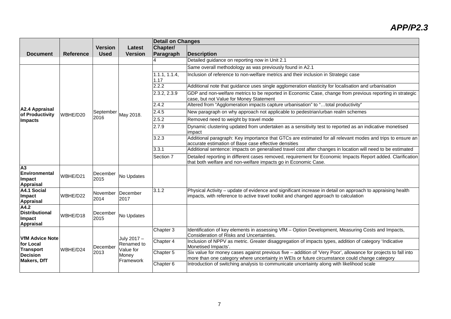|                                                                                           |                  |                  |                                                              | <b>Detail on Changes</b> |                                                                                                                                                                                                                                                           |
|-------------------------------------------------------------------------------------------|------------------|------------------|--------------------------------------------------------------|--------------------------|-----------------------------------------------------------------------------------------------------------------------------------------------------------------------------------------------------------------------------------------------------------|
|                                                                                           |                  | <b>Version</b>   | Latest                                                       | Chapter/                 |                                                                                                                                                                                                                                                           |
| <b>Document</b>                                                                           | <b>Reference</b> | <b>Used</b>      | <b>Version</b>                                               | Paragraph                | <b>Description</b>                                                                                                                                                                                                                                        |
|                                                                                           |                  |                  |                                                              |                          | Detailed guidance on reporting now in Unit 2.1                                                                                                                                                                                                            |
|                                                                                           |                  |                  | May 2018.                                                    |                          | Same overall methodology as was previously found in A2.1                                                                                                                                                                                                  |
|                                                                                           |                  |                  |                                                              | 1.1.1, 1.1.4,<br>1.17    | Inclusion of reference to non-welfare metrics and their inclusion in Strategic case                                                                                                                                                                       |
|                                                                                           |                  |                  |                                                              | 2.2.2                    | Additional note that guidance uses single agglomeration elasticity for localisation and urbanisation                                                                                                                                                      |
|                                                                                           |                  |                  |                                                              | 2.3.2, 2.3.9             | GDP and non-welfare metrics to be reported in Economic Case, change from previous reporting in strategic<br>case, but not Value for Money Statement                                                                                                       |
|                                                                                           |                  |                  |                                                              | 2.4.2                    | Altered from "Agglomeration impacts capture urbanisation" to "total productivity"                                                                                                                                                                         |
| A2.4 Appraisal<br>of Productivity                                                         | WBHE/D20         | September        |                                                              | 2.4.5                    | New paragraph on why approach not applicable to pedestrian/urban realm schemes                                                                                                                                                                            |
| <b>Impacts</b>                                                                            |                  | 2016             |                                                              | 2.5.2                    | Removed need to weight by travel mode                                                                                                                                                                                                                     |
|                                                                                           |                  |                  |                                                              | 2.7.9                    | Dynamic clustering updated from undertaken as a sensitivity test to reported as an indicative monetised<br>impact                                                                                                                                         |
|                                                                                           |                  |                  |                                                              | 3.2.3                    | Additional paragraph: Key importance that GTCs are estimated for all relevant modes and trips to ensure an<br>accurate estimation of Base case effective densities                                                                                        |
|                                                                                           |                  |                  |                                                              | 3.3.1                    | Additional sentence: impacts on generalised travel cost after changes in location will need to be estimated                                                                                                                                               |
|                                                                                           |                  |                  |                                                              | Section 7                | Detailed reporting in different cases removed, requirement for Economic Impacts Report added. Clarification<br>that both welfare and non-welfare impacts go in Economic Case.                                                                             |
| A <sub>3</sub><br>Environmental<br>Impact<br><b>Appraisal</b>                             | WBHE/D21         | December<br>2015 | No Updates                                                   |                          |                                                                                                                                                                                                                                                           |
| A4.1 Social<br>Impact<br><b>Appraisal</b>                                                 | WBHE/D22         | November<br>2014 | December<br>2017                                             | 3.1.2                    | Physical Activity - update of evidence and significant increase in detail on approach to appraising health<br>impacts, with reference to active travel toolkit and changed approach to calculation                                                        |
| A4.2<br><b>Distributional</b><br>Impact<br>Appraisal                                      | WBHE/D18         | December<br>2015 | No Updates                                                   |                          |                                                                                                                                                                                                                                                           |
| <b>VfM Advice Note</b><br>for Local<br>Transport<br><b>Decision</b><br><b>Makers, DfT</b> | WBHE/D24         | December<br>2013 | July 2017 -<br>Renamed to<br>Value for<br>Money<br>Framework | Chapter 3<br>Chapter 4   | Identification of key elements in assessing VfM - Option Development, Measuring Costs and Impacts,<br>Consideration of Risks and Uncertainties.<br>Inclusion of NPPV as metric. Greater disaggregation of impacts types, addition of category 'Indicative |
|                                                                                           |                  |                  |                                                              | Chapter 5                | Monetised Impacts'.<br>Six value for money cases against previous five - addition of 'Very Poor', allowance for projects to fall into<br>more than one category where uncertainty in WEIs or future circumstance could change category                    |
|                                                                                           |                  |                  |                                                              | Chapter 6                | Introduction of switching analysis to communicate uncertainty along with likelihood scale                                                                                                                                                                 |